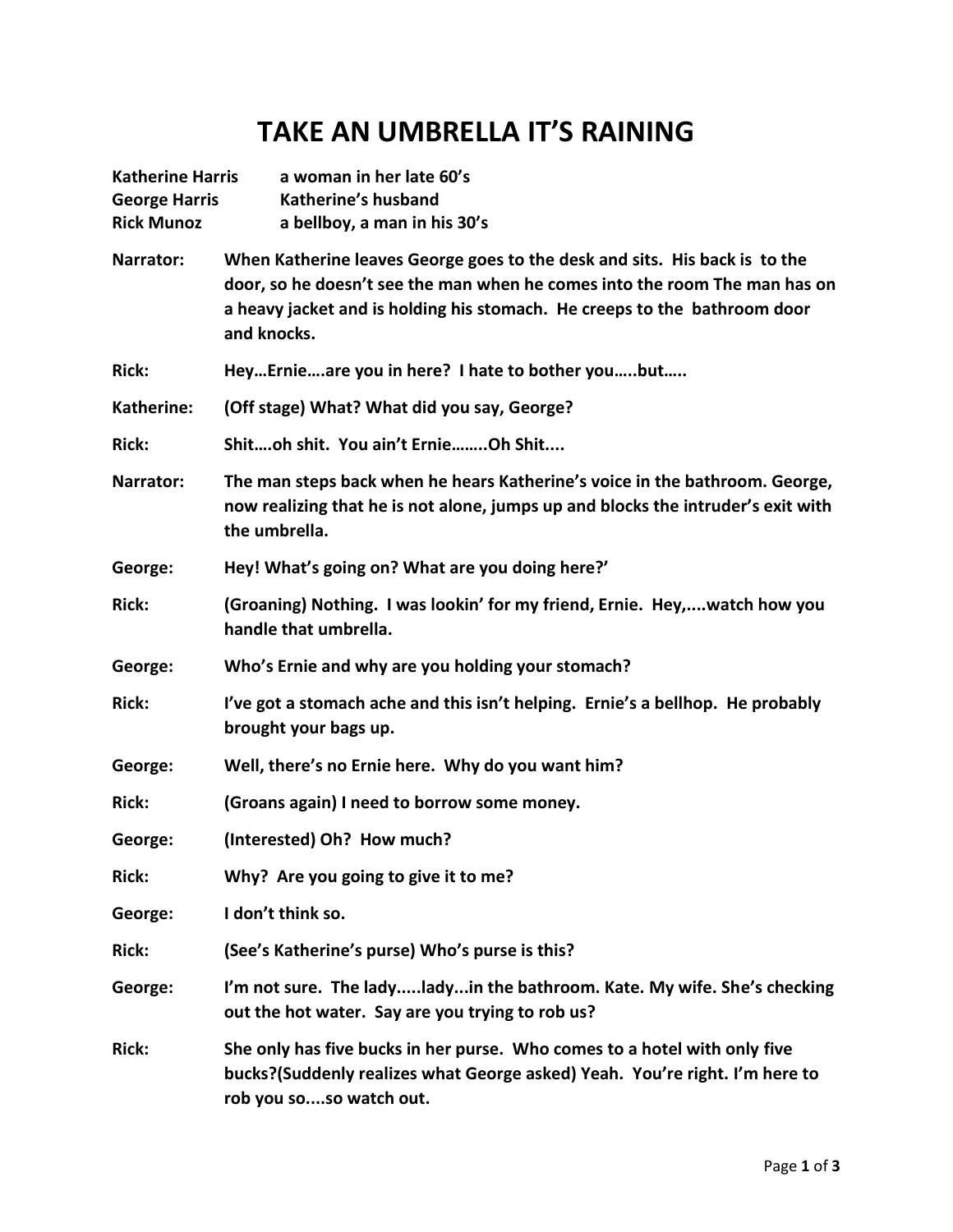## **TAKE AN UMBRELLA IT'S RAINING**

| <b>Katherine Harris</b><br><b>George Harris</b><br><b>Rick Munoz</b> | a woman in her late 60's<br>Katherine's husband<br>a bellboy, a man in his 30's                                                                                                                                                                      |
|----------------------------------------------------------------------|------------------------------------------------------------------------------------------------------------------------------------------------------------------------------------------------------------------------------------------------------|
| Narrator:                                                            | When Katherine leaves George goes to the desk and sits. His back is to the<br>door, so he doesn't see the man when he comes into the room The man has on<br>a heavy jacket and is holding his stomach. He creeps to the bathroom door<br>and knocks. |
| <b>Rick:</b>                                                         | HeyErnieare you in here? I hate to bother youbut                                                                                                                                                                                                     |
| Katherine:                                                           | (Off stage) What? What did you say, George?                                                                                                                                                                                                          |
| <b>Rick:</b>                                                         | Shitoh shit. You ain't ErnieOh Shit                                                                                                                                                                                                                  |
| Narrator:                                                            | The man steps back when he hears Katherine's voice in the bathroom. George,<br>now realizing that he is not alone, jumps up and blocks the intruder's exit with<br>the umbrella.                                                                     |
| George:                                                              | Hey! What's going on? What are you doing here?'                                                                                                                                                                                                      |
| <b>Rick:</b>                                                         | (Groaning) Nothing. I was lookin' for my friend, Ernie. Hey,watch how you<br>handle that umbrella.                                                                                                                                                   |
| George:                                                              | Who's Ernie and why are you holding your stomach?                                                                                                                                                                                                    |
| <b>Rick:</b>                                                         | I've got a stomach ache and this isn't helping. Ernie's a bellhop. He probably<br>brought your bags up.                                                                                                                                              |
| George:                                                              | Well, there's no Ernie here. Why do you want him?                                                                                                                                                                                                    |
| <b>Rick:</b>                                                         | (Groans again) I need to borrow some money.                                                                                                                                                                                                          |
| George:                                                              | (Interested) Oh? How much?                                                                                                                                                                                                                           |
| <b>Rick:</b>                                                         | Why? Are you going to give it to me?                                                                                                                                                                                                                 |
| George:                                                              | I don't think so.                                                                                                                                                                                                                                    |
| <b>Rick:</b>                                                         | (See's Katherine's purse) Who's purse is this?                                                                                                                                                                                                       |
| George:                                                              | I'm not sure. The ladyladyin the bathroom. Kate. My wife. She's checking<br>out the hot water. Say are you trying to rob us?                                                                                                                         |
| <b>Rick:</b>                                                         | She only has five bucks in her purse. Who comes to a hotel with only five<br>bucks?(Suddenly realizes what George asked) Yeah. You're right. I'm here to<br>rob you soso watch out.                                                                  |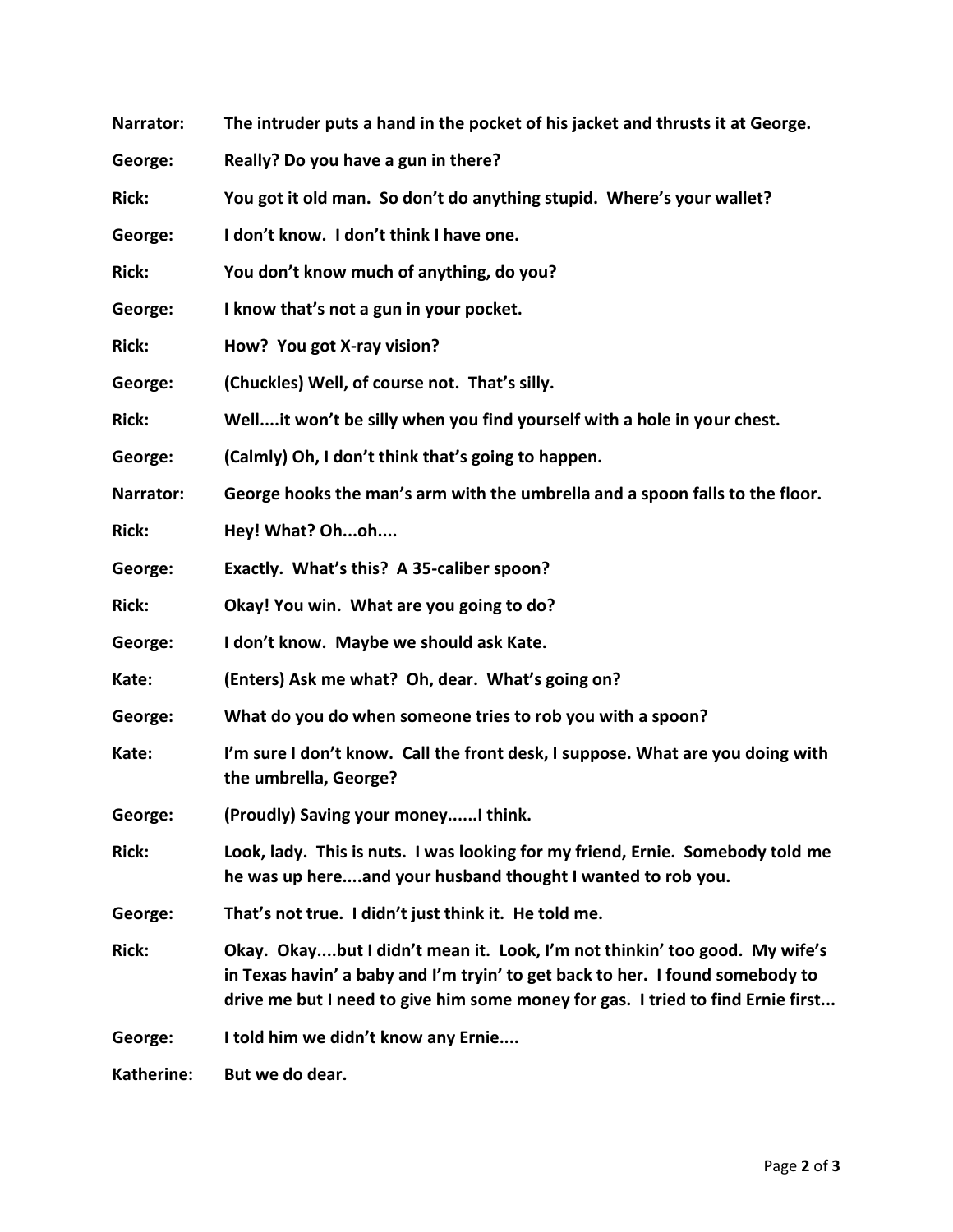| Narrator:    | The intruder puts a hand in the pocket of his jacket and thrusts it at George.                                                                                                                                                                 |
|--------------|------------------------------------------------------------------------------------------------------------------------------------------------------------------------------------------------------------------------------------------------|
| George:      | Really? Do you have a gun in there?                                                                                                                                                                                                            |
| <b>Rick:</b> | You got it old man. So don't do anything stupid. Where's your wallet?                                                                                                                                                                          |
| George:      | I don't know. I don't think I have one.                                                                                                                                                                                                        |
| <b>Rick:</b> | You don't know much of anything, do you?                                                                                                                                                                                                       |
| George:      | I know that's not a gun in your pocket.                                                                                                                                                                                                        |
| <b>Rick:</b> | How? You got X-ray vision?                                                                                                                                                                                                                     |
| George:      | (Chuckles) Well, of course not. That's silly.                                                                                                                                                                                                  |
| <b>Rick:</b> | Well it won't be silly when you find yourself with a hole in your chest.                                                                                                                                                                       |
| George:      | (Calmly) Oh, I don't think that's going to happen.                                                                                                                                                                                             |
| Narrator:    | George hooks the man's arm with the umbrella and a spoon falls to the floor.                                                                                                                                                                   |
| <b>Rick:</b> | Hey! What? Ohoh                                                                                                                                                                                                                                |
| George:      | Exactly. What's this? A 35-caliber spoon?                                                                                                                                                                                                      |
| <b>Rick:</b> | Okay! You win. What are you going to do?                                                                                                                                                                                                       |
| George:      | I don't know. Maybe we should ask Kate.                                                                                                                                                                                                        |
| Kate:        | (Enters) Ask me what? Oh, dear. What's going on?                                                                                                                                                                                               |
| George:      | What do you do when someone tries to rob you with a spoon?                                                                                                                                                                                     |
| Kate:        | I'm sure I don't know. Call the front desk, I suppose. What are you doing with<br>the umbrella, George?                                                                                                                                        |
| George:      | (Proudly) Saving your moneyI think.                                                                                                                                                                                                            |
| <b>Rick:</b> | Look, lady. This is nuts. I was looking for my friend, Ernie. Somebody told me<br>he was up hereand your husband thought I wanted to rob you.                                                                                                  |
| George:      | That's not true. I didn't just think it. He told me.                                                                                                                                                                                           |
| <b>Rick:</b> | Okay. Okaybut I didn't mean it. Look, I'm not thinkin' too good. My wife's<br>in Texas havin' a baby and I'm tryin' to get back to her. I found somebody to<br>drive me but I need to give him some money for gas. I tried to find Ernie first |
| George:      | I told him we didn't know any Ernie                                                                                                                                                                                                            |
| Katherine:   | But we do dear.                                                                                                                                                                                                                                |